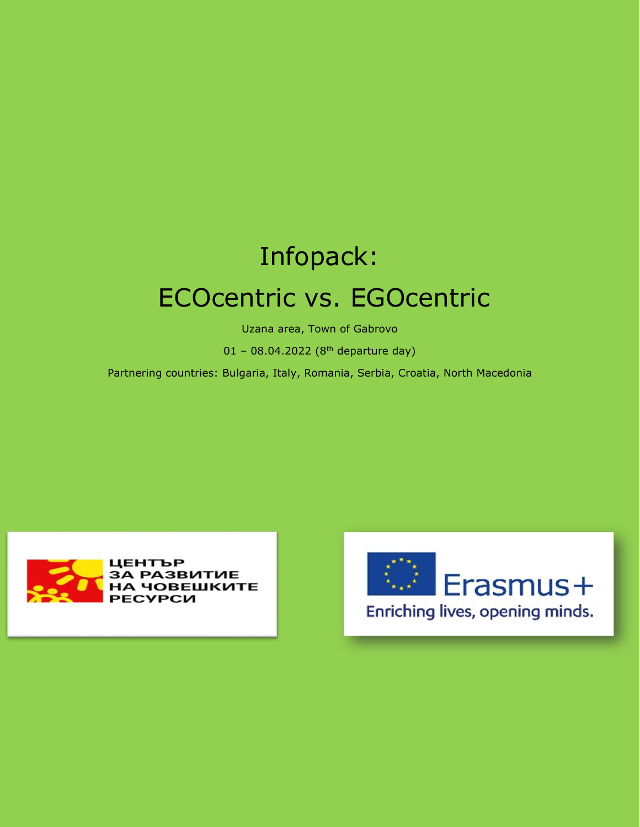# Infopack: ECOcentric vs. EGOcentric

Uzana area, Town of Gabrovo

01 - 08.04.2022 ( $8<sup>th</sup>$  departure day)

Partnering countries: Bulgaria, Italy, Romania, Serbia, Croatia, North Macedonia



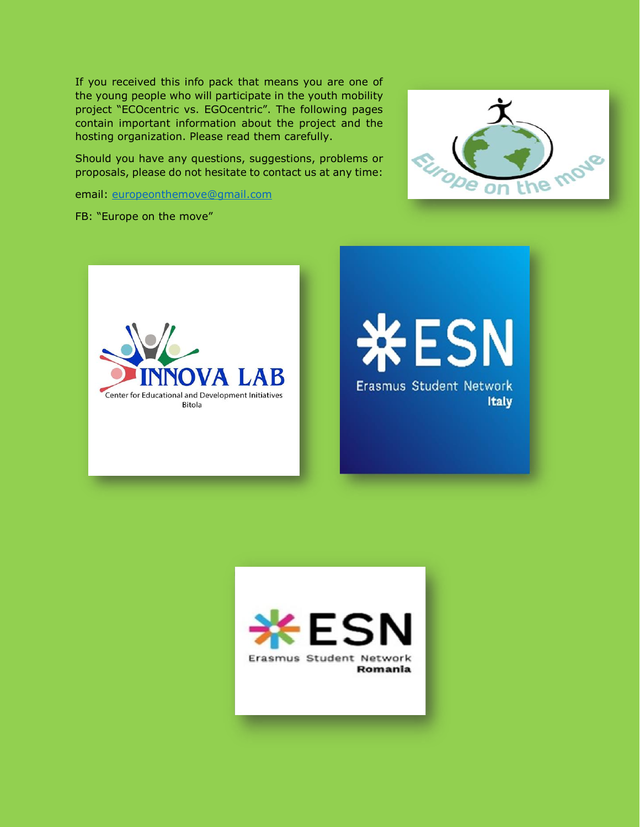If you received this info pack that means you are one of the young people who will participate in the youth mobility project "ECOcentric vs. EGOcentric". Тhe following pages contain important information about the project and the hosting organization. Please read them carefully.

Should you have any questions, suggestions, problems or proposals, please do not hesitate to contact us at any time:

email: [europeonthemove@gmail.com](mailto:europeonthemove@gmail.com)

FB: "Europe on the move"



ESN Erasmus Student Network **Italy** 



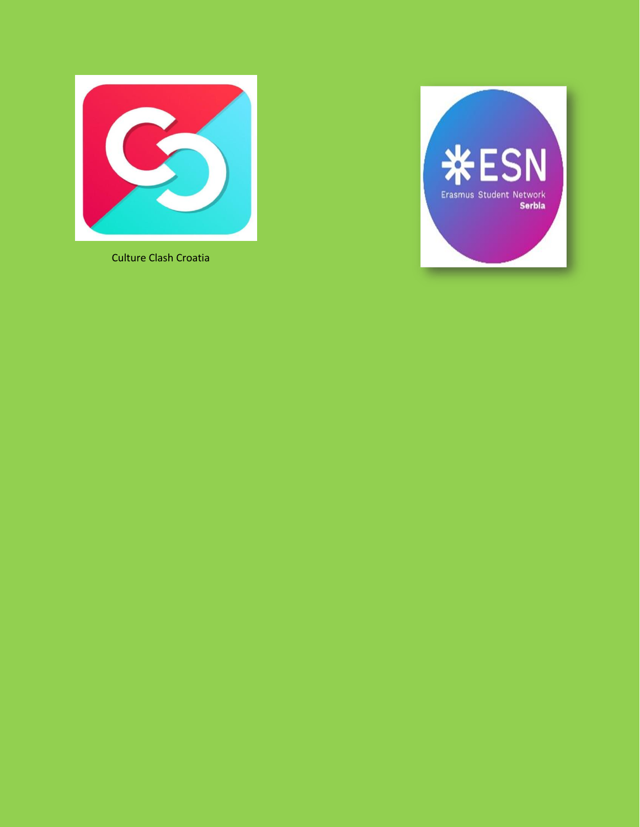

Culture Clash Croatia

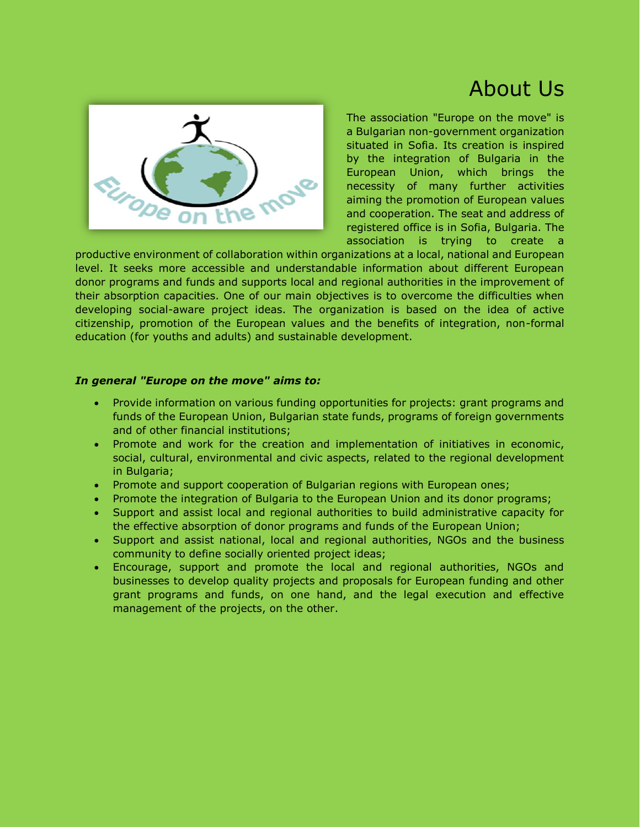### About Us



The association "Europe on the move" is a Bulgarian non-government organization situated in Sofia. Its creation is inspired by the integration of Bulgaria in the European Union, which brings the necessity of many further activities aiming the promotion of European values and cooperation. The seat and address of registered office is in Sofia, Bulgaria. The association is trying to create a

productive environment of collaboration within organizations at a local, national and European level. It seeks more accessible and understandable information about different European donor programs and funds and supports local and regional authorities in the improvement of their absorption capacities. One of our main objectives is to overcome the difficulties when developing social-aware project ideas. The organization is based on the idea of active citizenship, promotion of the European values and the benefits of integration, non-formal education (for youths and adults) and sustainable development.

#### *In general "Europe on the move" aims to:*

- Provide information on various funding opportunities for projects: grant programs and funds of the European Union, Bulgarian state funds, programs of foreign governments and of other financial institutions;
- Promote and work for the creation and implementation of initiatives in economic, social, cultural, environmental and civic aspects, related to the regional development in Bulgaria;
- Promote and support cooperation of Bulgarian regions with European ones;
- Promote the integration of Bulgaria to the European Union and its donor programs;
- Support and assist local and regional authorities to build administrative capacity for the effective absorption of donor programs and funds of the European Union;
- Support and assist national, local and regional authorities, NGOs and the business community to define socially oriented project ideas;
- Encourage, support and promote the local and regional authorities, NGOs and businesses to develop quality projects and proposals for European funding and other grant programs and funds, on one hand, and the legal execution and effective management of the projects, on the other.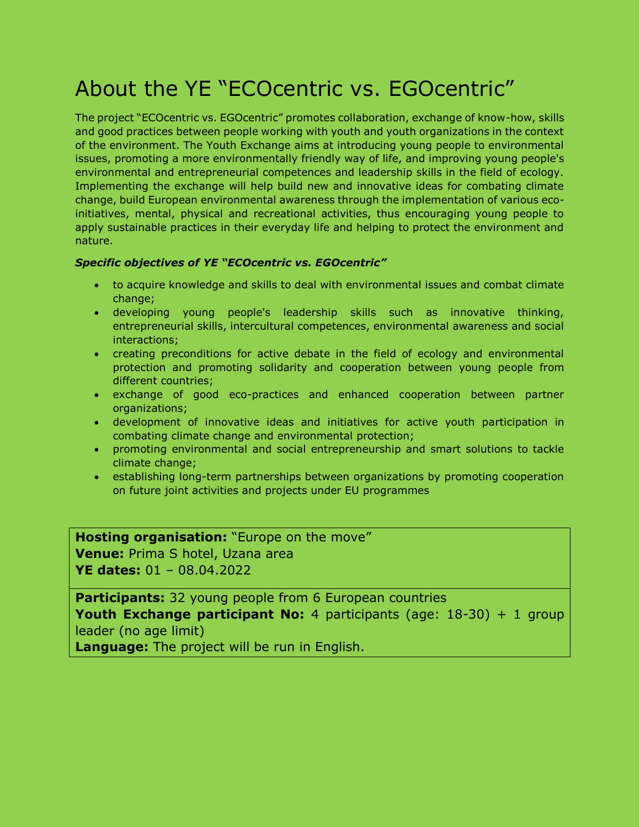## About the YE "ECOcentric vs. EGOcentric"

The project "ECOcentric vs. EGOcentric" promotes collaboration, exchange of know-how, skills and good practices between people working with youth and youth organizations in the context of the environment. The Youth Exchange aims at introducing young people to environmental issues, promoting a more environmentally friendly way of life, and improving young people's environmental and entrepreneurial competences and leadership skills in the field of ecology. Implementing the exchange will help build new and innovative ideas for combating climate change, build European environmental awareness through the implementation of various ecoinitiatives, mental, physical and recreational activities, thus encouraging young people to apply sustainable practices in their everyday life and helping to protect the environment and nature.

#### *Specific objectives of YE "ECOcentric vs. EGOcentric"*

- to acquire knowledge and skills to deal with environmental issues and combat climate change;
- developing young people's leadership skills such as innovative thinking, entrepreneurial skills, intercultural competences, environmental awareness and social interactions;
- creating preconditions for active debate in the field of ecology and environmental protection and promoting solidarity and cooperation between young people from different countries;
- exchange of good eco-practices and enhanced cooperation between partner organizations;
- development of innovative ideas and initiatives for active youth participation in combating climate change and environmental protection;
- promoting environmental and social entrepreneurship and smart solutions to tackle climate change;
- establishing long-term partnerships between organizations by promoting cooperation on future joint activities and projects under EU programmes

**Hosting organisation:** "Europe on the move" **Venue:** Prima S hotel, Uzana area **YE dates:** 01 – 08.04.2022

**Participants:** 32 young people from 6 European countries **Youth Exchange participant No:** 4 participants (age: 18-30) + 1 group leader (no age limit)

**Language:** The project will be run in English.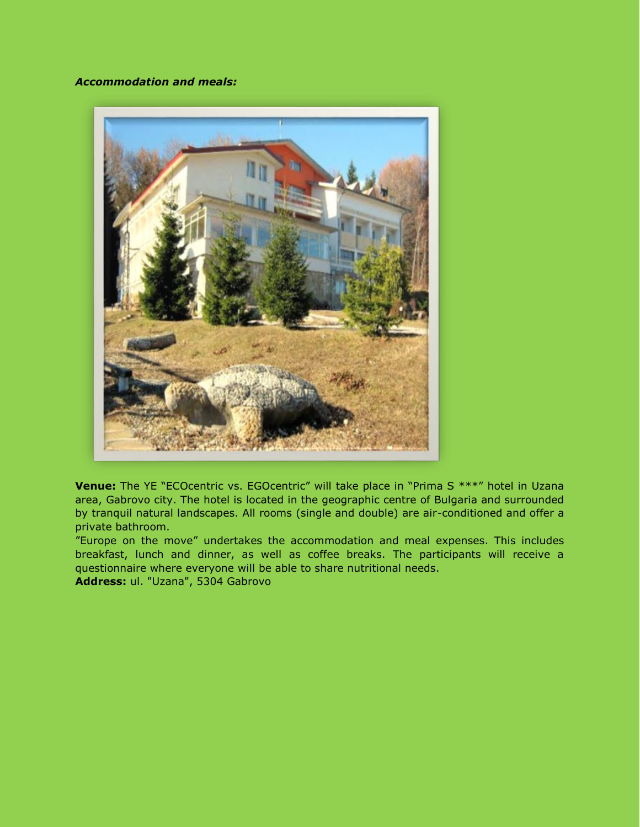#### *Accommodation and meals:*



**Venue:** The YE "ECOcentric vs. EGOcentric" will take place in "Prima S \*\*\*" hotel in Uzana area, Gabrovo city. The hotel is located in the geographic centre of Bulgaria and surrounded by tranquil natural landscapes. All rooms (single and double) are air-conditioned and offer a private bathroom.

"Europe on the move" undertakes the accommodation and meal expenses. This includes breakfast, lunch and dinner, as well as coffee breaks. The participants will receive a questionnaire where everyone will be able to share nutritional needs.

**Address:** ul. "Uzana", 5304 Gabrovo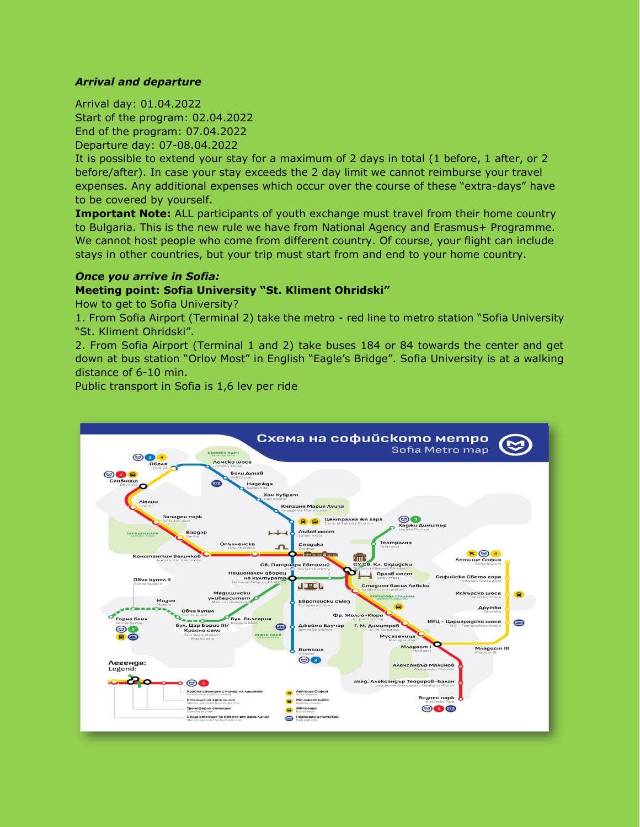#### *Arrival and departure*

Arrival day: 01.04.2022 Start of the program: 02.04.2022 End of the program: 07.04.2022 Departure day: 07-08.04.2022

It is possible to extend your stay for a maximum of 2 days in total (1 before, 1 after, or 2 before/after). In case your stay exceeds the 2 day limit we cannot reimburse your travel expenses. Any additional expenses which occur over the course of these "extra-days" have to be covered by yourself.

**Important Note:** ALL participants of youth exchange must travel from their home country to Bulgaria. This is the new rule we have from National Agency and Erasmus+ Programme. We cannot host people who come from different country. Of course, your flight can include stays in other countries, but your trip must start from and end to your home country.

#### *Once you arrive in Sofia:*

#### **Meeting point: Sofia University "St. Kliment Ohridski"**

How to get to Sofia University?

1. From Sofia Airport (Terminal 2) take the metro - red line to metro station "Sofia University "St. Kliment Ohridski".

2. From Sofia Airport (Terminal 1 and 2) take buses 184 or 84 towards the center and get down at bus station "Orlov Most" in English "Eagle's Bridge". Sofia University is at a walking distance of 6-10 min.

Public transport in Sofia is 1,6 lev per ride

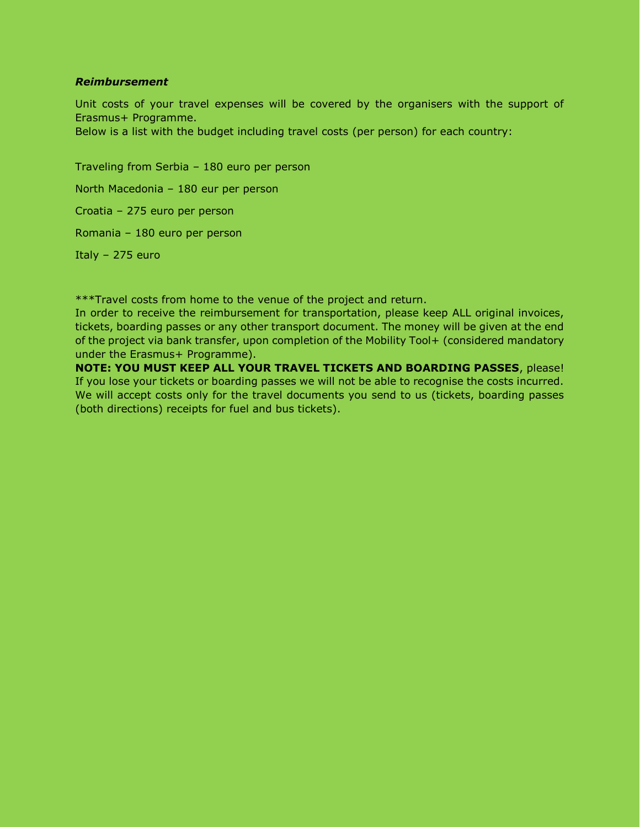#### *Reimbursement*

Unit costs of your travel expenses will be covered by the organisers with the support of Erasmus+ Programme.

Below is a list with the budget including travel costs (per person) for each country:

Traveling from Serbia – 180 euro per person North Macedonia – 180 eur per person Croatia – 275 euro per person Romania – 180 euro per person Italy – 275 euro

\*\*\*Travel costs from home to the venue of the project and return.

In order to receive the reimbursement for transportation, please keep ALL original invoices, tickets, boarding passes or any other transport document. The money will be given at the end of the project via bank transfer, upon completion of the Mobility Tool+ (considered mandatory under the Erasmus+ Programme).

**NOTE: YOU MUST KEEP ALL YOUR TRAVEL TICKETS AND BOARDING PASSES**, please! If you lose your tickets or boarding passes we will not be able to recognise the costs incurred. We will accept costs only for the travel documents you send to us (tickets, boarding passes (both directions) receipts for fuel and bus tickets).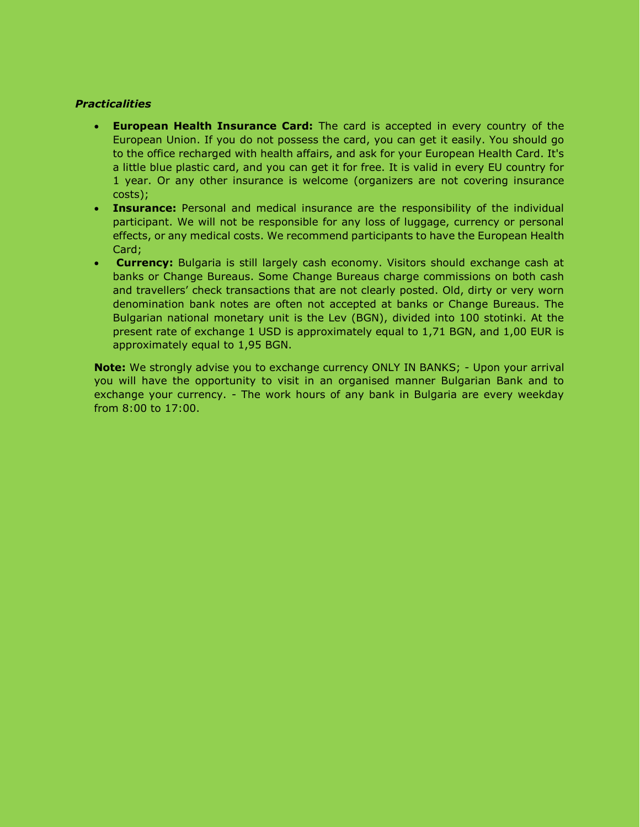#### *Practicalities*

- **European Health Insurance Card:** The card is accepted in every country of the European Union. If you do not possess the card, you can get it easily. You should go to the office recharged with health affairs, and ask for your European Health Card. It's a little blue plastic card, and you can get it for free. It is valid in every EU country for 1 year. Or any other insurance is welcome (organizers are not covering insurance costs);
- **Insurance:** Personal and medical insurance are the responsibility of the individual participant. We will not be responsible for any loss of luggage, currency or personal effects, or any medical costs. We recommend participants to have the European Health Card;
- **Currency:** Bulgaria is still largely cash economy. Visitors should exchange cash at banks or Change Bureaus. Some Change Bureaus charge commissions on both cash and travellers' check transactions that are not clearly posted. Old, dirty or very worn denomination bank notes are often not accepted at banks or Change Bureaus. The Bulgarian national monetary unit is the Lev (BGN), divided into 100 stotinki. At the present rate of exchange 1 USD is approximately equal to 1,71 BGN, and 1,00 EUR is approximately equal to 1,95 BGN.

**Note:** We strongly advise you to exchange currency ONLY IN BANKS; - Upon your arrival you will have the opportunity to visit in an organised manner Bulgarian Bank and to exchange your currency. - The work hours of any bank in Bulgaria are every weekday from 8:00 to 17:00.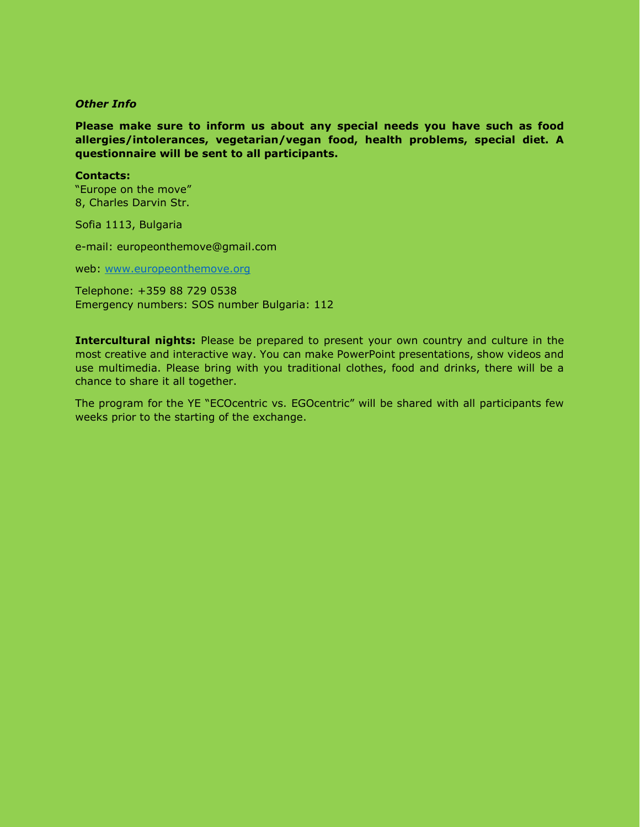#### *Other Info*

**Please make sure to inform us about any special needs you have such as food allergies/intolerances, vegetarian/vegan food, health problems, special diet. A questionnaire will be sent to all participants.**

#### **Contacts:**

"Europe on the move" 8, Charles Darvin Str.

Sofia 1113, Bulgaria

e-mail: europeonthemove@gmail.com

web: [www.europeonthemove.org](http://www.europeonthemove.org/)

Telephone: +359 88 729 0538 Emergency numbers: SOS number Bulgaria: 112

**Intercultural nights:** Please be prepared to present your own country and culture in the most creative and interactive way. You can make PowerPoint presentations, show videos and use multimedia. Please bring with you traditional clothes, food and drinks, there will be a chance to share it all together.

The program for the YE "ECOcentric vs. EGOcentric" will be shared with all participants few weeks prior to the starting of the exchange.